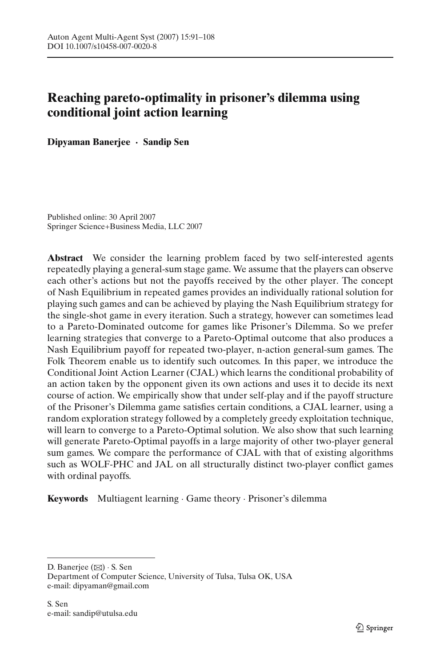# **Reaching pareto-optimality in prisoner's dilemma using conditional joint action learning**

**Dipyaman Banerjee · Sandip Sen**

Published online: 30 April 2007 Springer Science+Business Media, LLC 2007

**Abstract** We consider the learning problem faced by two self-interested agents repeatedly playing a general-sum stage game. We assume that the players can observe each other's actions but not the payoffs received by the other player. The concept of Nash Equilibrium in repeated games provides an individually rational solution for playing such games and can be achieved by playing the Nash Equilibrium strategy for the single-shot game in every iteration. Such a strategy, however can sometimes lead to a Pareto-Dominated outcome for games like Prisoner's Dilemma. So we prefer learning strategies that converge to a Pareto-Optimal outcome that also produces a Nash Equilibrium payoff for repeated two-player, n-action general-sum games. The Folk Theorem enable us to identify such outcomes. In this paper, we introduce the Conditional Joint Action Learner (CJAL) which learns the conditional probability of an action taken by the opponent given its own actions and uses it to decide its next course of action. We empirically show that under self-play and if the payoff structure of the Prisoner's Dilemma game satisfies certain conditions, a CJAL learner, using a random exploration strategy followed by a completely greedy exploitation technique, will learn to converge to a Pareto-Optimal solution. We also show that such learning will generate Pareto-Optimal payoffs in a large majority of other two-player general sum games. We compare the performance of CJAL with that of existing algorithms such as WOLF-PHC and JAL on all structurally distinct two-player conflict games with ordinal payoffs.

**Keywords** Multiagent learning · Game theory · Prisoner's dilemma

D. Banerjee ( $\boxtimes$ ) · S. Sen

Department of Computer Science, University of Tulsa, Tulsa OK, USA e-mail: dipyaman@gmail.com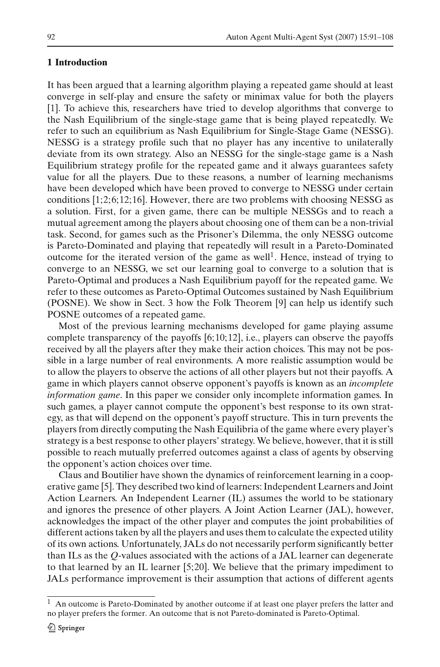## **1 Introduction**

It has been argued that a learning algorithm playing a repeated game should at least converge in self-play and ensure the safety or minimax value for both the players [\[1](#page-15-0)]. To achieve this, researchers have tried to develop algorithms that converge to the Nash Equilibrium of the single-stage game that is being played repeatedly. We refer to such an equilibrium as Nash Equilibrium for Single-Stage Game (NESSG). NESSG is a strategy profile such that no player has any incentive to unilaterally deviate from its own strategy. Also an NESSG for the single-stage game is a Nash Equilibrium strategy profile for the repeated game and it always guarantees safety value for all the players. Due to these reasons, a number of learning mechanisms have been developed which have been proved to converge to NESSG under certain conditions [\[1](#page-15-0)[;2](#page-16-0);[6](#page-16-1);[12](#page-16-2)[;16\]](#page-16-3). However, there are two problems with choosing NESSG as a solution. First, for a given game, there can be multiple NESSGs and to reach a mutual agreement among the players about choosing one of them can be a non-trivial task. Second, for games such as the Prisoner's Dilemma, the only NESSG outcome is Pareto-Dominated and playing that repeatedly will result in a Pareto-Dominated outcome for the iterated version of the game as well<sup>1</sup>. Hence, instead of trying to converge to an NESSG, we set our learning goal to converge to a solution that is Pareto-Optimal and produces a Nash Equilibrium payoff for the repeated game. We refer to these outcomes as Pareto-Optimal Outcomes sustained by Nash Equilibrium (POSNE). We show in Sect. [3](#page-8-0) how the Folk Theorem [\[9](#page-16-4)] can help us identify such POSNE outcomes of a repeated game.

Most of the previous learning mechanisms developed for game playing assume complete transparency of the payoffs [\[6;](#page-16-1)[10;](#page-16-5)[12](#page-16-2)], i.e., players can observe the payoffs received by all the players after they make their action choices. This may not be possible in a large number of real environments. A more realistic assumption would be to allow the players to observe the actions of all other players but not their payoffs. A game in which players cannot observe opponent's payoffs is known as an *incomplete information game*. In this paper we consider only incomplete information games. In such games, a player cannot compute the opponent's best response to its own strategy, as that will depend on the opponent's payoff structure. This in turn prevents the players from directly computing the Nash Equilibria of the game where every player's strategy is a best response to other players' strategy. We believe, however, that it is still possible to reach mutually preferred outcomes against a class of agents by observing the opponent's action choices over time.

Claus and Boutilier have shown the dynamics of reinforcement learning in a cooperative game [\[5\]](#page-16-6). They described two kind of learners: Independent Learners and Joint Action Learners. An Independent Learner (IL) assumes the world to be stationary and ignores the presence of other players. A Joint Action Learner (JAL), however, acknowledges the impact of the other player and computes the joint probabilities of different actions taken by all the players and uses them to calculate the expected utility of its own actions. Unfortunately, JALs do not necessarily perform significantly better than ILs as the *Q*-values associated with the actions of a JAL learner can degenerate to that learned by an IL learner [\[5](#page-16-6)[;20\]](#page-16-7). We believe that the primary impediment to JALs performance improvement is their assumption that actions of different agents

<span id="page-1-0"></span><sup>1</sup> An outcome is Pareto-Dominated by another outcome if at least one player prefers the latter and no player prefers the former. An outcome that is not Pareto-dominated is Pareto-Optimal.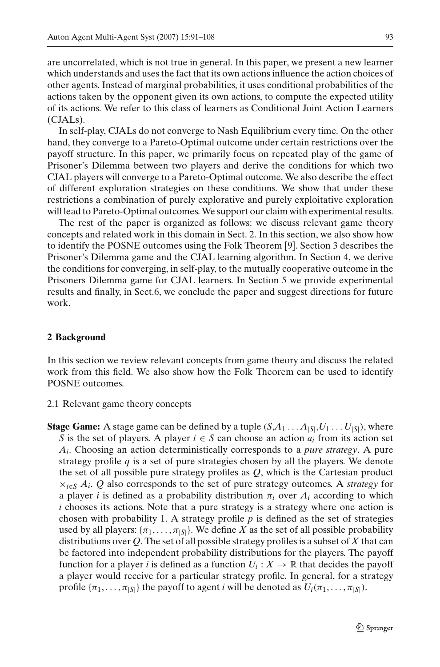are uncorrelated, which is not true in general. In this paper, we present a new learner which understands and uses the fact that its own actions influence the action choices of other agents. Instead of marginal probabilities, it uses conditional probabilities of the actions taken by the opponent given its own actions, to compute the expected utility of its actions. We refer to this class of learners as Conditional Joint Action Learners (CJALs).

In self-play, CJALs do not converge to Nash Equilibrium every time. On the other hand, they converge to a Pareto-Optimal outcome under certain restrictions over the payoff structure. In this paper, we primarily focus on repeated play of the game of Prisoner's Dilemma between two players and derive the conditions for which two CJAL players will converge to a Pareto-Optimal outcome. We also describe the effect of different exploration strategies on these conditions. We show that under these restrictions a combination of purely explorative and purely exploitative exploration will lead to Pareto-Optimal outcomes. We support our claim with experimental results.

The rest of the paper is organized as follows: we discuss relevant game theory concepts and related work in this domain in Sect. [2.](#page-2-0) In this section, we also show how to identify the POSNE outcomes using the Folk Theorem [\[9](#page-16-4)]. Section [3](#page-8-0) describes the Prisoner's Dilemma game and the CJAL learning algorithm. In Section [4,](#page-10-0) we derive the conditions for converging, in self-play, to the mutually cooperative outcome in the Prisoners Dilemma game for CJAL learners. In Section [5](#page-11-0) we provide experimental results and finally, in Sect[.6,](#page-15-1) we conclude the paper and suggest directions for future work.

# <span id="page-2-0"></span>**2 Background**

In this section we review relevant concepts from game theory and discuss the related work from this field. We also show how the Folk Theorem can be used to identify POSNE outcomes.

- 2.1 Relevant game theory concepts
- **Stage Game:** A stage game can be defined by a tuple  $(S, A_1 \ldots A_{|S|}, U_1 \ldots U_{|S|})$ , where *S* is the set of players. A player  $i \in S$  can choose an action  $a_i$  from its action set *Ai*. Choosing an action deterministically corresponds to a *pure strategy*. A pure strategy profile *q* is a set of pure strategies chosen by all the players. We denote the set of all possible pure strategy profiles as *Q*, which is the Cartesian product  $\times_{i \in S} A_i$ . *Q* also corresponds to the set of pure strategy outcomes. A *strategy* for a player *i* is defined as a probability distribution  $\pi_i$  over  $A_i$  according to which *i* chooses its actions. Note that a pure strategy is a strategy where one action is chosen with probability 1. A strategy profile  $p$  is defined as the set of strategies used by all players:  $\{\pi_1, \ldots, \pi_{|S|}\}\)$ . We define *X* as the set of all possible probability distributions over *Q*. The set of all possible strategy profiles is a subset of *X* that can be factored into independent probability distributions for the players. The payoff function for a player *i* is defined as a function  $U_i: X \to \mathbb{R}$  that decides the payoff a player would receive for a particular strategy profile. In general, for a strategy profile  $\{\pi_1, \ldots, \pi_{|S|}\}$  the payoff to agent *i* will be denoted as  $U_i(\pi_1, \ldots, \pi_{|S|})$ .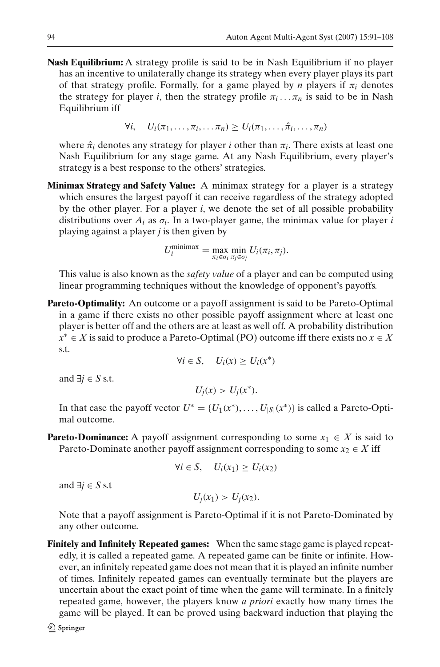**Nash Equilibrium:** A strategy profile is said to be in Nash Equilibrium if no player has an incentive to unilaterally change its strategy when every player plays its part of that strategy profile. Formally, for a game played by *n* players if  $\pi_i$  denotes the strategy for player *i*, then the strategy profile  $\pi_i \dots \pi_n$  is said to be in Nash Equilibrium iff

$$
\forall i, \quad U_i(\pi_1,\ldots,\pi_i,\ldots\pi_n) \geq U_i(\pi_1,\ldots,\hat{\pi}_i,\ldots,\pi_n)
$$

where  $\hat{\pi}_i$  denotes any strategy for player *i* other than  $\pi_i$ . There exists at least one Nash Equilibrium for any stage game. At any Nash Equilibrium, every player's strategy is a best response to the others' strategies.

**Minimax Strategy and Safety Value:** A minimax strategy for a player is a strategy which ensures the largest payoff it can receive regardless of the strategy adopted by the other player. For a player *i*, we denote the set of all possible probability distributions over  $A_i$  as  $\sigma_i$ . In a two-player game, the minimax value for player *i* playing against a player *j* is then given by

$$
U_i^{\text{minimax}} = \max_{\pi_i \in \sigma_i} \min_{\pi_j \in \sigma_j} U_i(\pi_i, \pi_j).
$$

This value is also known as the *safety value* of a player and can be computed using linear programming techniques without the knowledge of opponent's payoffs.

**Pareto-Optimality:** An outcome or a payoff assignment is said to be Pareto-Optimal in a game if there exists no other possible payoff assignment where at least one player is better off and the others are at least as well off. A probability distribution  $x^* \in X$  is said to produce a Pareto-Optimal (PO) outcome iff there exists no  $x \in X$ s.t.

$$
\forall i \in S, \quad U_i(x) \ge U_i(x^*)
$$

and  $\exists j \in S$  s.t.

$$
U_j(x) > U_j(x^*).
$$

In that case the payoff vector  $U^* = \{U_1(x^*), \ldots, U_{|S|}(x^*)\}$  is called a Pareto-Optimal outcome.

**Pareto-Dominance:** A payoff assignment corresponding to some  $x_1 \in X$  is said to Pareto-Dominate another payoff assignment corresponding to some  $x_2 \in X$  iff

$$
\forall i \in S, \quad U_i(x_1) \ge U_i(x_2)
$$

and  $\exists j \in S$  s.t

$$
U_j(x_1) > U_j(x_2).
$$

Note that a payoff assignment is Pareto-Optimal if it is not Pareto-Dominated by any other outcome.

**Finitely and Infinitely Repeated games:** When the same stage game is played repeatedly, it is called a repeated game. A repeated game can be finite or infinite. However, an infinitely repeated game does not mean that it is played an infinite number of times. Infinitely repeated games can eventually terminate but the players are uncertain about the exact point of time when the game will terminate. In a finitely repeated game, however, the players know *a priori* exactly how many times the game will be played. It can be proved using backward induction that playing the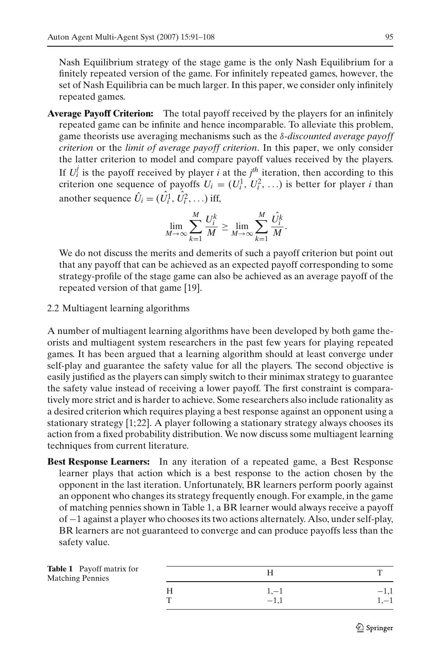Nash Equilibrium strategy of the stage game is the only Nash Equilibrium for a finitely repeated version of the game. For infinitely repeated games, however, the set of Nash Equilibria can be much larger. In this paper, we consider only infinitely repeated games.

**Average Payoff Criterion:** The total payoff received by the players for an infinitely repeated game can be infinite and hence incomparable. To alleviate this problem, game theorists use averaging mechanisms such as the δ*-discounted average payoff criterion* or the *limit of average payoff criterion*. In this paper, we only consider the latter criterion to model and compare payoff values received by the players. If  $U_i^j$  is the payoff received by player *i* at the  $j^{th}$  iteration, then according to this criterion one sequence of payoffs  $U_i = (U_i^1, U_i^2, \ldots)$  is better for player *i* than another sequence  $\hat{U}_i = (\hat{U}_i^1, \hat{U}_i^2, \ldots)$  iff,

$$
\lim_{M \to \infty} \sum_{k=1}^{M} \frac{U_i^k}{M} \ge \lim_{M \to \infty} \sum_{k=1}^{M} \frac{\hat{U}_i^k}{M}.
$$

We do not discuss the merits and demerits of such a payoff criterion but point out that any payoff that can be achieved as an expected payoff corresponding to some strategy-profile of the stage game can also be achieved as an average payoff of the repeated version of that game [\[19\]](#page-16-8).

2.2 Multiagent learning algorithms

A number of multiagent learning algorithms have been developed by both game theorists and multiagent system researchers in the past few years for playing repeated games. It has been argued that a learning algorithm should at least converge under self-play and guarantee the safety value for all the players. The second objective is easily justified as the players can simply switch to their minimax strategy to guarantee the safety value instead of receiving a lower payoff. The first constraint is comparatively more strict and is harder to achieve. Some researchers also include rationality as a desired criterion which requires playing a best response against an opponent using a stationary strategy [\[1;](#page-15-0)[22](#page-16-9)]. A player following a stationary strategy always chooses its action from a fixed probability distribution. We now discuss some multiagent learning techniques from current literature.

**Best Response Learners:** In any iteration of a repeated game, a Best Response learner plays that action which is a best response to the action chosen by the opponent in the last iteration. Unfortunately, BR learners perform poorly against an opponent who changes its strategy frequently enough. For example, in the game of matching pennies shown in Table [1,](#page-4-0) a BR learner would always receive a payoff of −1 against a player who chooses its two actions alternately. Also, under self-play, BR learners are not guaranteed to converge and can produce payoffs less than the safety value.

<span id="page-4-0"></span>

| <b>Table 1</b> Payoff matrix for<br><b>Matching Pennies</b> |    |                           |      |
|-------------------------------------------------------------|----|---------------------------|------|
|                                                             | ᠇᠇ | $1\!\!\:-\!\!1$<br>$-1.1$ | $-1$ |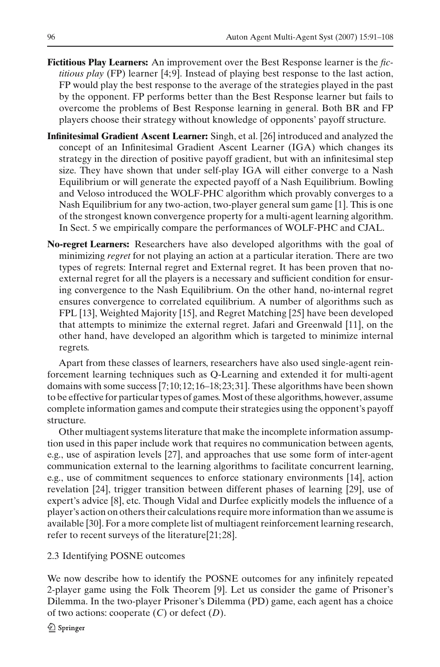- **Fictitious Play Learners:** An improvement over the Best Response learner is the *fictitious play* (FP) learner [\[4;](#page-16-10)[9\]](#page-16-4). Instead of playing best response to the last action, FP would play the best response to the average of the strategies played in the past by the opponent. FP performs better than the Best Response learner but fails to overcome the problems of Best Response learning in general. Both BR and FP players choose their strategy without knowledge of opponents' payoff structure.
- **Infinitesimal Gradient Ascent Learner:** Singh, et al. [\[26](#page-16-11)] introduced and analyzed the concept of an Infinitesimal Gradient Ascent Learner (IGA) which changes its strategy in the direction of positive payoff gradient, but with an infinitesimal step size. They have shown that under self-play IGA will either converge to a Nash Equilibrium or will generate the expected payoff of a Nash Equilibrium. Bowling and Veloso introduced the WOLF-PHC algorithm which provably converges to a Nash Equilibrium for any two-action, two-player general sum game [\[1](#page-15-0)]. This is one of the strongest known convergence property for a multi-agent learning algorithm. In Sect. [5](#page-11-0) we empirically compare the performances of WOLF-PHC and CJAL.
- **No-regret Learners:** Researchers have also developed algorithms with the goal of minimizing *regret* for not playing an action at a particular iteration. There are two types of regrets: Internal regret and External regret. It has been proven that noexternal regret for all the players is a necessary and sufficient condition for ensuring convergence to the Nash Equilibrium. On the other hand, no-internal regret ensures convergence to correlated equilibrium. A number of algorithms such as FPL [\[13\]](#page-16-12), Weighted Majority [\[15\]](#page-16-13), and Regret Matching [\[25](#page-16-14)] have been developed that attempts to minimize the external regret. Jafari and Greenwald [11], on the other hand, have developed an algorithm which is targeted to minimize internal regrets.

Apart from these classes of learners, researchers have also used single-agent reinforcement learning techniques such as Q-Learning and extended it for multi-agent domains with some success [\[7](#page-16-15);[10](#page-16-5)[;12;](#page-16-2)[16](#page-16-3)[–18;](#page-16-16)[23;](#page-16-17)[31](#page-17-0)]. These algorithms have been shown to be effective for particular types of games.Most of these algorithms, however, assume complete information games and compute their strategies using the opponent's payoff structure.

Other multiagent systems literature that make the incomplete information assumption used in this paper include work that requires no communication between agents, e.g., use of aspiration levels [\[27](#page-16-18)], and approaches that use some form of inter-agent communication external to the learning algorithms to facilitate concurrent learning, e.g., use of commitment sequences to enforce stationary environments [\[14\]](#page-16-19), action revelation [\[24\]](#page-16-20), trigger transition between different phases of learning [\[29](#page-17-1)], use of expert's advice [\[8](#page-16-21)], etc. Though Vidal and Durfee explicitly models the influence of a player's action on others their calculations require more information than we assume is available [\[30](#page-17-2)]. For a more complete list of multiagent reinforcement learning research, refer to recent surveys of the literature[\[21;](#page-16-22)[28](#page-16-23)].

# 2.3 Identifying POSNE outcomes

We now describe how to identify the POSNE outcomes for any infinitely repeated 2-player game using the Folk Theorem [\[9\]](#page-16-4). Let us consider the game of Prisoner's Dilemma. In the two-player Prisoner's Dilemma (PD) game, each agent has a choice of two actions: cooperate (*C*) or defect (*D*).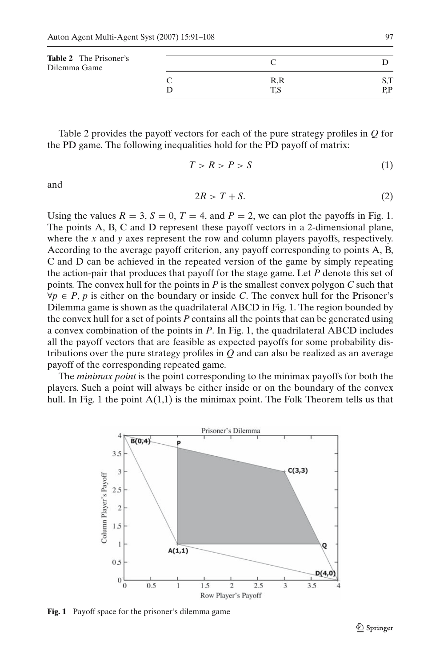<span id="page-6-0"></span>

| <b>Table 2</b> The Prisoner's<br>Dilemma Game |  |     |     |  |
|-----------------------------------------------|--|-----|-----|--|
|                                               |  | R.R | P.P |  |

Table [2](#page-6-0) provides the payoff vectors for each of the pure strategy profiles in *Q* for the PD game. The following inequalities hold for the PD payoff of matrix:

<span id="page-6-2"></span>
$$
T > R > P > S \tag{1}
$$

<span id="page-6-3"></span>and

$$
2R > T + S.\tag{2}
$$

Using the values  $R = 3$ ,  $S = 0$ ,  $T = 4$ , and  $P = 2$ , we can plot the payoffs in Fig. [1.](#page-6-1) The points A, B, C and D represent these payoff vectors in a 2-dimensional plane, where the *x* and *y* axes represent the row and column players payoffs, respectively. According to the average payoff criterion, any payoff corresponding to points A, B, C and D can be achieved in the repeated version of the game by simply repeating the action-pair that produces that payoff for the stage game. Let *P* denote this set of points. The convex hull for the points in *P* is the smallest convex polygon *C* such that  $\forall p \in P, p$  is either on the boundary or inside *C*. The convex hull for the Prisoner's Dilemma game is shown as the quadrilateral ABCD in Fig. [1.](#page-6-1) The region bounded by the convex hull for a set of points *P* contains all the points that can be generated using a convex combination of the points in *P*. In Fig. [1,](#page-6-1) the quadrilateral ABCD includes all the payoff vectors that are feasible as expected payoffs for some probability distributions over the pure strategy profiles in *Q* and can also be realized as an average payoff of the corresponding repeated game.

The *minimax point* is the point corresponding to the minimax payoffs for both the players. Such a point will always be either inside or on the boundary of the convex hull. In Fig. [1](#page-6-1) the point  $A(1,1)$  is the minimax point. The Folk Theorem tells us that



<span id="page-6-1"></span>**Fig. 1** Payoff space for the prisoner's dilemma game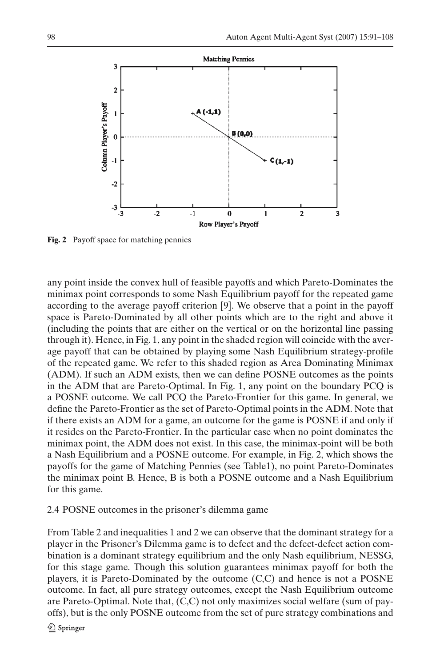

<span id="page-7-0"></span>**Fig. 2** Payoff space for matching pennies

any point inside the convex hull of feasible payoffs and which Pareto-Dominates the minimax point corresponds to some Nash Equilibrium payoff for the repeated game according to the average payoff criterion [\[9](#page-16-4)]. We observe that a point in the payoff space is Pareto-Dominated by all other points which are to the right and above it (including the points that are either on the vertical or on the horizontal line passing through it). Hence, in Fig. [1,](#page-6-1) any point in the shaded region will coincide with the average payoff that can be obtained by playing some Nash Equilibrium strategy-profile of the repeated game. We refer to this shaded region as Area Dominating Minimax (ADM). If such an ADM exists, then we can define POSNE outcomes as the points in the ADM that are Pareto-Optimal. In Fig. [1,](#page-6-1) any point on the boundary PCQ is a POSNE outcome. We call PCQ the Pareto-Frontier for this game. In general, we define the Pareto-Frontier as the set of Pareto-Optimal points in the ADM. Note that if there exists an ADM for a game, an outcome for the game is POSNE if and only if it resides on the Pareto-Frontier. In the particular case when no point dominates the minimax point, the ADM does not exist. In this case, the minimax-point will be both a Nash Equilibrium and a POSNE outcome. For example, in Fig. [2,](#page-7-0) which shows the payoffs for the game of Matching Pennies (see Tabl[e1\)](#page-4-0), no point Pareto-Dominates the minimax point B. Hence, B is both a POSNE outcome and a Nash Equilibrium for this game.

## 2.4 POSNE outcomes in the prisoner's dilemma game

From Table [2](#page-6-0) and inequalities [1](#page-6-2) and [2](#page-6-3) we can observe that the dominant strategy for a player in the Prisoner's Dilemma game is to defect and the defect-defect action combination is a dominant strategy equilibrium and the only Nash equilibrium, NESSG, for this stage game. Though this solution guarantees minimax payoff for both the players, it is Pareto-Dominated by the outcome (C,C) and hence is not a POSNE outcome. In fact, all pure strategy outcomes, except the Nash Equilibrium outcome are Pareto-Optimal. Note that, (C,C) not only maximizes social welfare (sum of payoffs), but is the only POSNE outcome from the set of pure strategy combinations and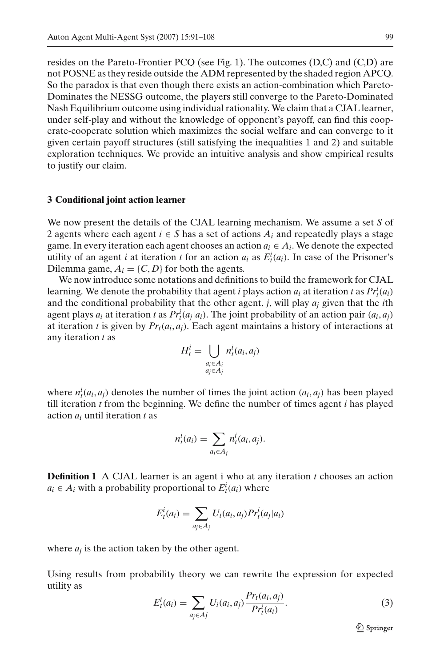resides on the Pareto-Frontier PCQ (see Fig. [1\)](#page-6-1). The outcomes (D,C) and (C,D) are not POSNE as they reside outside the ADM represented by the shaded region APCQ. So the paradox is that even though there exists an action-combination which Pareto-Dominates the NESSG outcome, the players still converge to the Pareto-Dominated Nash Equilibrium outcome using individual rationality. We claim that a CJAL learner, under self-play and without the knowledge of opponent's payoff, can find this cooperate-cooperate solution which maximizes the social welfare and can converge to it given certain payoff structures (still satisfying the inequalities [1](#page-6-2) and [2\)](#page-6-3) and suitable exploration techniques. We provide an intuitive analysis and show empirical results to justify our claim.

#### <span id="page-8-0"></span>**3 Conditional joint action learner**

We now present the details of the CJAL learning mechanism. We assume a set *S* of 2 agents where each agent  $i \in S$  has a set of actions  $A_i$  and repeatedly plays a stage game. In every iteration each agent chooses an action  $a_i \in A_i$ . We denote the expected utility of an agent *i* at iteration *t* for an action  $a_i$  as  $E_t^i(a_i)$ . In case of the Prisoner's Dilemma game,  $A_i = \{C, D\}$  for both the agents.

We now introduce some notations and definitions to build the framework for CJAL learning. We denote the probability that agent *i* plays action  $a_i$  at iteration *t* as  $Pr_t^i(a_i)$ and the conditional probability that the other agent, *j*, will play *aj* given that the *i*th agent plays  $a_i$  at iteration *t* as  $Pr_t^i(a_j|a_i)$ . The joint probability of an action pair  $(a_i, a_j)$ at iteration *t* is given by  $Pr<sub>t</sub>(a<sub>i</sub>, a<sub>i</sub>)$ . Each agent maintains a history of interactions at any iteration *t* as

$$
H_t^i = \bigcup_{\substack{a_i \in A_i \\ a_j \in A_j}} n_t^i(a_i, a_j)
$$

where  $n_t^i(a_i, a_j)$  denotes the number of times the joint action  $(a_i, a_j)$  has been played till iteration *t* from the beginning. We define the number of times agent *i* has played action *ai* until iteration *t* as

$$
n_t^i(a_i) = \sum_{a_j \in A_j} n_t^i(a_i, a_j).
$$

**Definition 1** A CJAL learner is an agent i who at any iteration *t* chooses an action *a<sub>i</sub>* ∈ *A<sub>i</sub>* with a probability proportional to  $E_i^i(a_i)$  where

$$
E_t^i(a_i) = \sum_{a_j \in A_j} U_i(a_i, a_j) Pr_t^i(a_j|a_i)
$$

where *aj* is the action taken by the other agent.

<span id="page-8-1"></span>Using results from probability theory we can rewrite the expression for expected utility as

$$
E_t^i(a_i) = \sum_{a_j \in Aj} U_i(a_i, a_j) \frac{Pr_i(a_i, a_j)}{Pr_i^i(a_i)}.
$$
 (3)

 $\textcircled{2}$  Springer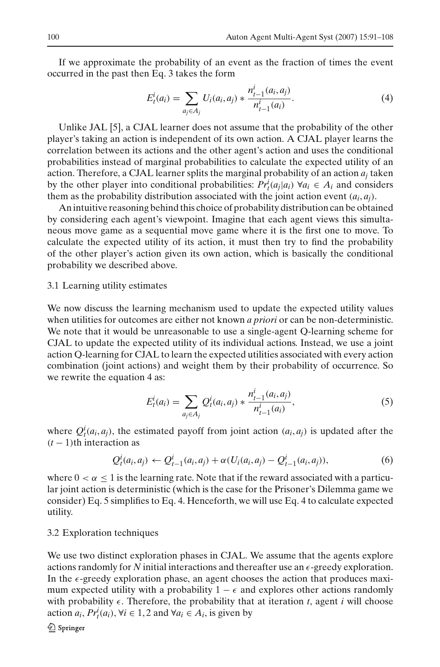If we approximate the probability of an event as the fraction of times the event occurred in the past then Eq. [3](#page-8-1) takes the form

<span id="page-9-0"></span>
$$
E_t^i(a_i) = \sum_{a_j \in A_j} U_i(a_i, a_j) * \frac{n_{t-1}^i(a_i, a_j)}{n_{t-1}^i(a_i)}.
$$
\n(4)

Unlike JAL [\[5\]](#page-16-6), a CJAL learner does not assume that the probability of the other player's taking an action is independent of its own action. A CJAL player learns the correlation between its actions and the other agent's action and uses the conditional probabilities instead of marginal probabilities to calculate the expected utility of an action. Therefore, a CJAL learner splits the marginal probability of an action *aj* taken by the other player into conditional probabilities:  $Pr_i^i(a_j|a_i)$   $\forall a_i \in A_i$  and considers them as the probability distribution associated with the joint action event  $(a_i, a_j)$ .

An intuitive reasoning behind this choice of probability distribution can be obtained by considering each agent's viewpoint. Imagine that each agent views this simultaneous move game as a sequential move game where it is the first one to move. To calculate the expected utility of its action, it must then try to find the probability of the other player's action given its own action, which is basically the conditional probability we described above.

#### 3.1 Learning utility estimates

We now discuss the learning mechanism used to update the expected utility values when utilities for outcomes are either not known *a priori* or can be non-deterministic. We note that it would be unreasonable to use a single-agent Q-learning scheme for CJAL to update the expected utility of its individual actions. Instead, we use a joint action Q-learning for CJAL to learn the expected utilities associated with every action combination (joint actions) and weight them by their probability of occurrence. So we rewrite the equation [4](#page-9-0) as:

<span id="page-9-1"></span>
$$
E_t^i(a_i) = \sum_{a_j \in A_j} Q_t^i(a_i, a_j) * \frac{n_{t-1}^i(a_i, a_j)}{n_{t-1}^i(a_i)},
$$
\n(5)

where  $Q_t^i(a_i, a_j)$ , the estimated payoff from joint action  $(a_i, a_j)$  is updated after the  $(t-1)$ th interaction as

$$
Q_t^i(a_i, a_j) \leftarrow Q_{t-1}^i(a_i, a_j) + \alpha(U_i(a_i, a_j) - Q_{t-1}^i(a_i, a_j)),
$$
\n(6)

where  $0 < \alpha \leq 1$  is the learning rate. Note that if the reward associated with a particular joint action is deterministic (which is the case for the Prisoner's Dilemma game we consider) Eq. [5](#page-9-1) simplifies to Eq. [4.](#page-9-0) Henceforth, we will use Eq. [4](#page-9-0) to calculate expected utility.

#### 3.2 Exploration techniques

We use two distinct exploration phases in CJAL. We assume that the agents explore actions randomly for  $N$  initial interactions and thereafter use an  $\epsilon$ -greedy exploration. In the  $\epsilon$ -greedy exploration phase, an agent chooses the action that produces maximum expected utility with a probability  $1 - \epsilon$  and explores other actions randomly with probability  $\epsilon$ . Therefore, the probability that at iteration *t*, agent *i* will choose action  $a_i$ ,  $Pr_t^i(a_i)$ ,  $\forall i \in 1, 2$  and  $\forall a_i \in A_i$ , is given by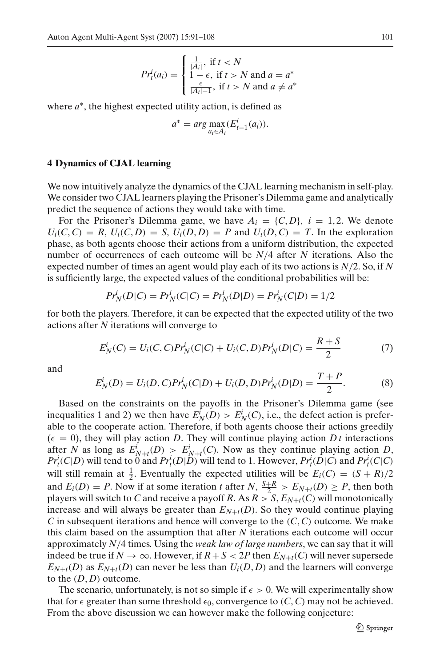$$
Pr_t^i(a_i) = \begin{cases} \frac{1}{|A_i|}, & \text{if } t < N\\ 1 - \epsilon, & \text{if } t > N \text{ and } a = a^*\\ \frac{\epsilon}{|A_i| - 1}, & \text{if } t > N \text{ and } a \neq a^* \end{cases}
$$

where *a*∗, the highest expected utility action, is defined as

$$
a^* = \arg\max_{a_i \in A_i} (E_{t-1}^i(a_i)).
$$

### <span id="page-10-0"></span>**4 Dynamics of CJAL learning**

We now intuitively analyze the dynamics of the CJAL learning mechanism in self-play. We consider two CJAL learners playing the Prisoner's Dilemma game and analytically predict the sequence of actions they would take with time.

For the Prisoner's Dilemma game, we have  $A_i = \{C, D\}$ ,  $i = 1, 2$ . We denote  $U_i(C, C) = R$ ,  $U_i(C, D) = S$ ,  $U_i(D, D) = P$  and  $U_i(D, C) = T$ . In the exploration phase, as both agents choose their actions from a uniform distribution, the expected number of occurrences of each outcome will be *N*/4 after *N* iterations. Also the expected number of times an agent would play each of its two actions is *N*/2. So, if *N* is sufficiently large, the expected values of the conditional probabilities will be:

$$
Pr_N^i(D|C) = Pr_N^i(C|C) = Pr_N^i(D|D) = Pr_N^i(C|D) = 1/2
$$

for both the players. Therefore, it can be expected that the expected utility of the two actions after *N* iterations will converge to

$$
E_N^i(C) = U_i(C, C)Pr_N^i(C|C) + U_i(C, D)Pr_N^i(D|C) = \frac{R+S}{2}
$$
 (7)

and

$$
E_N^i(D) = U_i(D, C)Pr_N^i(C|D) + U_i(D, D)Pr_N^i(D|D) = \frac{T+P}{2}.
$$
 (8)

Based on the constraints on the payoffs in the Prisoner's Dilemma game (see inequalities [1](#page-6-2) and [2\)](#page-6-3) we then have  $E_N^i(D) > E_N^i(C)$ , i.e., the defect action is preferable to the cooperate action. Therefore, if both agents choose their actions greedily  $(\epsilon = 0)$ , they will play action *D*. They will continue playing action *Dt* interactions after *N* as long as  $E_{N+t}^i(D) > E_{N+t}^i(C)$ . Now as they continue playing action *D*,  $Pr_t^i(C|D)$  will tend to 0 and  $Pr_t^i(D|D)$  will tend to 1. However,  $Pr_t^i(D|C)$  and  $Pr_t^i(C|C)$ will still remain at  $\frac{1}{2}$ . Eventually the expected utilities will be  $E_i(C) = (S + R)/2$ and  $E_i(D) = P$ . Now if at some iteration *t* after  $N$ ,  $\frac{S+R}{2} > E_{N+t}(D) \geq P$ , then both players will switch to *C* and receive a payoff *R*. As  $R > S$ ,  $E_{N+t}(C)$  will monotonically increase and will always be greater than  $E_{N+t}(D)$ . So they would continue playing *C* in subsequent iterations and hence will converge to the (*C*, *C*) outcome. We make this claim based on the assumption that after *N* iterations each outcome will occur approximately *N*/4 times. Using the *weak law of large numbers*, we can say that it will indeed be true if *N* → ∞. However, if  $R + S < 2P$  then  $E_{N+t}(C)$  will never supersede  $E_{N+t}(D)$  as  $E_{N+t}(D)$  can never be less than  $U_i(D, D)$  and the learners will converge to the  $(D, D)$  outcome.

The scenario, unfortunately, is not so simple if  $\epsilon > 0$ . We will experimentally show that for  $\epsilon$  greater than some threshold  $\epsilon_0$ , convergence to  $(C, C)$  may not be achieved. From the above discussion we can however make the following conjecture: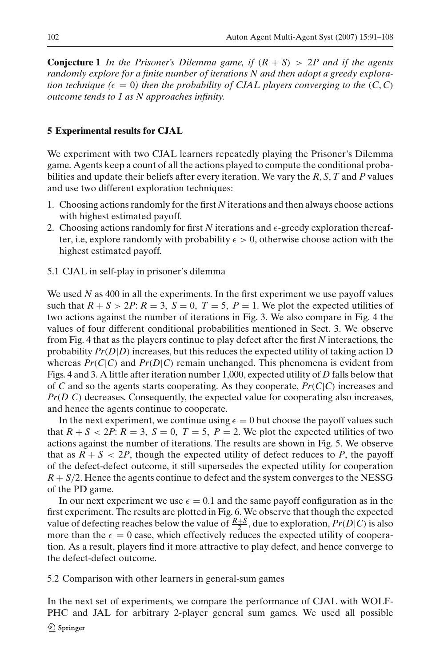**Conjecture 1** In the Prisoner's Dilemma game, if  $(R + S) > 2P$  and if the agents *randomly explore for a finite number of iterations N and then adopt a greedy exploration technique* ( $\epsilon = 0$ ) *then the probability of CJAL players converging to the*  $(C, C)$ *outcome tends to 1 as N approaches infinity.*

# <span id="page-11-0"></span>**5 Experimental results for CJAL**

We experiment with two CJAL learners repeatedly playing the Prisoner's Dilemma game. Agents keep a count of all the actions played to compute the conditional probabilities and update their beliefs after every iteration. We vary the *R*, *S*,*T* and *P* values and use two different exploration techniques:

- 1. Choosing actions randomly for the first *N* iterations and then always choose actions with highest estimated payoff.
- 2. Choosing actions randomly for first  $N$  iterations and  $\epsilon$ -greedy exploration thereafter, i.e, explore randomly with probability  $\epsilon > 0$ , otherwise choose action with the highest estimated payoff.
- 5.1 CJAL in self-play in prisoner's dilemma

We used *N* as 400 in all the experiments. In the first experiment we use payoff values such that  $R + S > 2P$ :  $R = 3$ ,  $S = 0$ ,  $T = 5$ ,  $P = 1$ . We plot the expected utilities of two actions against the number of iterations in Fig. [3.](#page-12-0) We also compare in Fig. [4](#page-12-1) the values of four different conditional probabilities mentioned in Sect. [3.](#page-8-0) We observe from Fig. [4](#page-12-1) that as the players continue to play defect after the first *N* interactions, the probability  $Pr(D|D)$  increases, but this reduces the expected utility of taking action D whereas  $Pr(C|C)$  and  $Pr(D|C)$  remain unchanged. This phenomena is evident from Figs. [4](#page-12-1) and [3.](#page-12-0) A little after iteration number 1,000, expected utility of *D* falls below that of *C* and so the agents starts cooperating. As they cooperate, *Pr*(*C*|*C*) increases and  $Pr(D|C)$  decreases. Consequently, the expected value for cooperating also increases, and hence the agents continue to cooperate.

In the next experiment, we continue using  $\epsilon = 0$  but choose the payoff values such that  $R + S < 2P$ :  $R = 3$ ,  $S = 0$ ,  $T = 5$ ,  $P = 2$ . We plot the expected utilities of two actions against the number of iterations. The results are shown in Fig. [5.](#page-13-0) We observe that as  $R + S < 2P$ , though the expected utility of defect reduces to P, the payoff of the defect-defect outcome, it still supersedes the expected utility for cooperation *R* + *S*/2. Hence the agents continue to defect and the system converges to the NESSG of the PD game.

In our next experiment we use  $\epsilon = 0.1$  and the same payoff configuration as in the first experiment. The results are plotted in Fig. [6.](#page-13-1) We observe that though the expected value of defecting reaches below the value of  $\frac{R+S}{2}$ , due to exploration,  $Pr(D|C)$  is also more than the  $\epsilon = 0$  case, which effectively reduces the expected utility of cooperation. As a result, players find it more attractive to play defect, and hence converge to the defect-defect outcome.

5.2 Comparison with other learners in general-sum games

In the next set of experiments, we compare the performance of CJAL with WOLF-PHC and JAL for arbitrary 2-player general sum games. We used all possible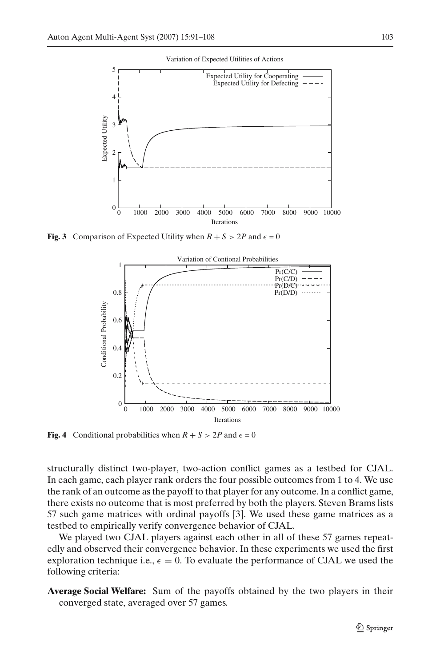

<span id="page-12-0"></span>**Fig. 3** Comparison of Expected Utility when  $R + S > 2P$  and  $\epsilon = 0$ 



<span id="page-12-1"></span>**Fig. 4** Conditional probabilities when  $R + S > 2P$  and  $\epsilon = 0$ 

structurally distinct two-player, two-action conflict games as a testbed for CJAL. In each game, each player rank orders the four possible outcomes from 1 to 4. We use the rank of an outcome as the payoff to that player for any outcome. In a conflict game, there exists no outcome that is most preferred by both the players. Steven Brams lists 57 such game matrices with ordinal payoffs [\[3](#page-16-24)]. We used these game matrices as a testbed to empirically verify convergence behavior of CJAL.

We played two CJAL players against each other in all of these 57 games repeatedly and observed their convergence behavior. In these experiments we used the first exploration technique i.e.,  $\epsilon = 0$ . To evaluate the performance of CJAL we used the following criteria:

**Average Social Welfare:** Sum of the payoffs obtained by the two players in their converged state, averaged over 57 games.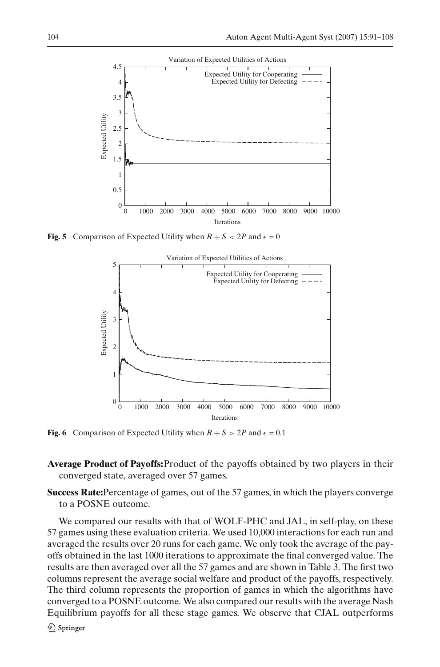

<span id="page-13-0"></span>**Fig. 5** Comparison of Expected Utility when  $R + S < 2P$  and  $\epsilon = 0$ 



<span id="page-13-1"></span>**Fig. 6** Comparison of Expected Utility when  $R + S > 2P$  and  $\epsilon = 0.1$ 

- **Average Product of Payoffs:**Product of the payoffs obtained by two players in their converged state, averaged over 57 games.
- **Success Rate:**Percentage of games, out of the 57 games, in which the players converge to a POSNE outcome.

We compared our results with that of WOLF-PHC and JAL, in self-play, on these 57 games using these evaluation criteria. We used 10,000 interactions for each run and averaged the results over 20 runs for each game. We only took the average of the payoffs obtained in the last 1000 iterations to approximate the final converged value. The results are then averaged over all the 57 games and are shown in Table 3. The first two columns represent the average social welfare and product of the payoffs, respectively. The third column represents the proportion of games in which the algorithms have converged to a POSNE outcome. We also compared our results with the average Nash Equilibrium payoffs for all these stage games. We observe that CJAL outperforms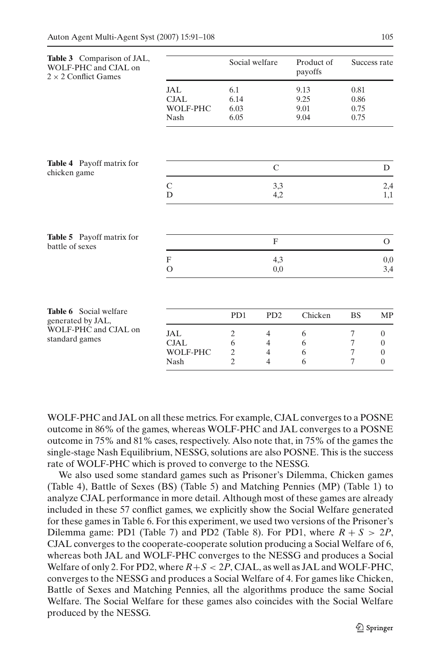<span id="page-14-0"></span>

| Table 3 Comparison of JAL,<br>WOLF-PHC and CJAL on<br>$2 \times 2$ Conflict Games |                 | Social welfare          |                 | Product of<br>payoffs |                | Success rate   |
|-----------------------------------------------------------------------------------|-----------------|-------------------------|-----------------|-----------------------|----------------|----------------|
|                                                                                   | JAL             | 6.1                     |                 | 9.13                  | 0.81           |                |
|                                                                                   | <b>CJAL</b>     | 6.14                    |                 | 9.25                  | 0.86           |                |
|                                                                                   | WOLF-PHC        | 6.03                    |                 | 9.01                  | 0.75           |                |
|                                                                                   | Nash            | 6.05                    |                 | 9.04                  | 0.75           |                |
|                                                                                   |                 |                         |                 |                       |                |                |
| Table 4 Payoff matrix for<br>chicken game                                         |                 |                         | $\mathsf{C}$    |                       |                | D              |
|                                                                                   | C               |                         | 3,3             |                       |                | 2,4            |
|                                                                                   | D               |                         | 4,2             |                       |                | 1,1            |
| <b>Table 5</b> Payoff matrix for<br>battle of sexes                               |                 |                         | $\mathbf{F}$    |                       |                | $\overline{O}$ |
|                                                                                   |                 |                         |                 |                       |                |                |
|                                                                                   | $\mathbf{F}$    |                         | 4,3             |                       |                | 0,0            |
|                                                                                   | $\Omega$        |                         | 0,0             |                       |                | 3,4            |
| Table 6 Social welfare                                                            |                 |                         |                 |                       |                |                |
| generated by JAL,<br>WOLF-PHC and CJAL on<br>standard games                       |                 | PD1                     | PD <sub>2</sub> | Chicken               | <b>BS</b>      | <b>MP</b>      |
|                                                                                   | <b>JAL</b>      | $\overline{c}$          | 4               | 6                     | 7              | $\overline{0}$ |
|                                                                                   | <b>CJAL</b>     | 6                       | 4               | 6                     | 7              | $\overline{0}$ |
|                                                                                   | <b>WOLF-PHC</b> | $\overline{\mathbf{c}}$ | 4               | 6                     | 7              | 0              |
|                                                                                   | Nash            | $\overline{2}$          | 4               | 6                     | $\overline{7}$ | $\overline{0}$ |

<span id="page-14-2"></span><span id="page-14-1"></span>WOLF-PHC and JAL on all these metrics. For example, CJAL converges to a POSNE outcome in 86% of the games, whereas WOLF-PHC and JAL converges to a POSNE outcome in 75% and 81% cases, respectively. Also note that, in 75% of the games the single-stage Nash Equilibrium, NESSG, solutions are also POSNE. This is the success rate of WOLF-PHC which is proved to converge to the NESSG.

We also used some standard games such as Prisoner's Dilemma, Chicken games (Table [4\)](#page-14-0), Battle of Sexes (BS) (Table [5\)](#page-14-1) and Matching Pennies (MP) (Table [1\)](#page-4-0) to analyze CJAL performance in more detail. Although most of these games are already included in these 57 conflict games, we explicitly show the Social Welfare generated for these games in Table [6.](#page-14-2) For this experiment, we used two versions of the Prisoner's Dilemma game: PD1 (Table [7\)](#page-15-2) and PD2 (Table [8\)](#page-15-3). For PD1, where  $R + S > 2P$ , CJAL converges to the cooperate-cooperate solution producing a Social Welfare of 6, whereas both JAL and WOLF-PHC converges to the NESSG and produces a Social Welfare of only 2. For PD2, where *R*+*S* < 2*P*, CJAL, as well as JAL and WOLF-PHC, converges to the NESSG and produces a Social Welfare of 4. For games like Chicken, Battle of Sexes and Matching Pennies, all the algorithms produce the same Social Welfare. The Social Welfare for these games also coincides with the Social Welfare produced by the NESSG.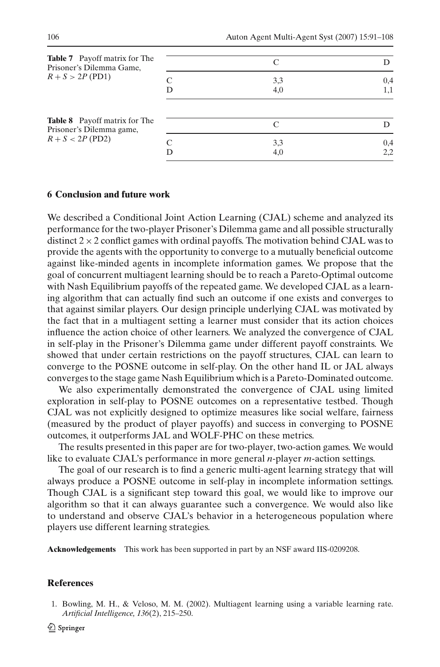<span id="page-15-2"></span>

| <b>Table 7</b> Payoff matrix for The<br>Prisoner's Dilemma Game,<br>$R + S > 2P$ (PD1) |   | $\subset$  | D          |
|----------------------------------------------------------------------------------------|---|------------|------------|
|                                                                                        | D | 3,3<br>4,0 | 0,4<br>1,1 |
| <b>Table 8</b> Payoff matrix for The<br>Prisoner's Dilemma game,<br>$R + S < 2P$ (PD2) |   | C          | D          |
|                                                                                        | D | 3,3<br>4,0 | 0,4<br>2,2 |
|                                                                                        |   |            |            |

#### <span id="page-15-3"></span><span id="page-15-1"></span>**6 Conclusion and future work**

We described a Conditional Joint Action Learning (CJAL) scheme and analyzed its performance for the two-player Prisoner's Dilemma game and all possible structurally distinct  $2 \times 2$  conflict games with ordinal payoffs. The motivation behind CJAL was to provide the agents with the opportunity to converge to a mutually beneficial outcome against like-minded agents in incomplete information games. We propose that the goal of concurrent multiagent learning should be to reach a Pareto-Optimal outcome with Nash Equilibrium payoffs of the repeated game. We developed CJAL as a learning algorithm that can actually find such an outcome if one exists and converges to that against similar players. Our design principle underlying CJAL was motivated by the fact that in a multiagent setting a learner must consider that its action choices influence the action choice of other learners. We analyzed the convergence of CJAL in self-play in the Prisoner's Dilemma game under different payoff constraints. We showed that under certain restrictions on the payoff structures, CJAL can learn to converge to the POSNE outcome in self-play. On the other hand IL or JAL always converges to the stage game Nash Equilibrium which is a Pareto-Dominated outcome.

We also experimentally demonstrated the convergence of CJAL using limited exploration in self-play to POSNE outcomes on a representative testbed. Though CJAL was not explicitly designed to optimize measures like social welfare, fairness (measured by the product of player payoffs) and success in converging to POSNE outcomes, it outperforms JAL and WOLF-PHC on these metrics.

The results presented in this paper are for two-player, two-action games. We would like to evaluate CJAL's performance in more general *n*-player *m*-action settings.

The goal of our research is to find a generic multi-agent learning strategy that will always produce a POSNE outcome in self-play in incomplete information settings. Though CJAL is a significant step toward this goal, we would like to improve our algorithm so that it can always guarantee such a convergence. We would also like to understand and observe CJAL's behavior in a heterogeneous population where players use different learning strategies.

**Acknowledgements** This work has been supported in part by an NSF award IIS-0209208.

#### **References**

<span id="page-15-0"></span>1. Bowling, M. H., & Veloso, M. M. (2002). Multiagent learning using a variable learning rate. *Artificial Intelligence, 136*(2), 215–250.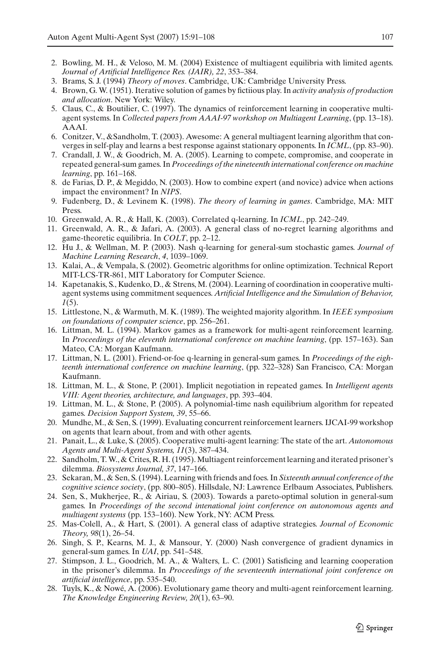- <span id="page-16-0"></span>2. Bowling, M. H., & Veloso, M. M. (2004) Existence of multiagent equilibria with limited agents. *Journal of Artificial Intelligence Res. (JAIR), 22*, 353–384.
- <span id="page-16-24"></span>3. Brams, S. J. (1994) *Theory of moves*. Cambridge, UK: Cambridge University Press.
- <span id="page-16-10"></span>4. Brown, G. W. (1951). Iterative solution of games by fictiious play. In *activity analysis of production and allocation*. New York: Wiley.
- <span id="page-16-6"></span>5. Claus, C., & Boutilier, C. (1997). The dynamics of reinforcement learning in cooperative multiagent systems. In *Collected papers from AAAI-97 workshop on Multiagent Learning*, (pp. 13–18). AAAI.
- <span id="page-16-1"></span>6. Conitzer, V., &Sandholm, T. (2003). Awesome: A general multiagent learning algorithm that converges in self-play and learns a best response against stationary opponents. In *ICML*, (pp. 83–90).
- <span id="page-16-15"></span>7. Crandall, J. W., & Goodrich, M. A. (2005). Learning to compete, compromise, and cooperate in repeated general-sum games. In *Proceedings of the nineteenth international conference on machine learning*, pp. 161–168.
- <span id="page-16-21"></span>8. de Farias, D. P., & Megiddo, N. (2003). How to combine expert (and novice) advice when actions impact the environment? In *NIPS*.
- 9. Fudenberg, D., & Levinem K. (1998). *The theory of learning in games*. Cambridge, MA: MIT Press.
- <span id="page-16-5"></span><span id="page-16-4"></span>10. Greenwald, A. R., & Hall, K. (2003). Correlated q-learning. In *ICML*, pp. 242–249.
- 11. Greenwald, A. R., & Jafari, A. (2003). A general class of no-regret learning algorithms and game-theoretic equilibria. In *COLT*, pp. 2–12.
- <span id="page-16-2"></span>12. Hu J., & Wellman, M. P. (2003). Nash q-learning for general-sum stochastic games. *Journal of Machine Learning Research*, *4*, 1039–1069.
- <span id="page-16-12"></span>13. Kalai, A., & Vempala, S. (2002). Geometric algorithms for online optimization. Technical Report MIT-LCS-TR-861, MIT Laboratory for Computer Science.
- <span id="page-16-19"></span>14. Kapetanakis, S., Kudenko, D., & Strens, M. (2004). Learning of coordination in cooperative multiagent systems using commitment sequences. *Artificial Intelligence and the Simulation of Behavior, 1*(5).
- <span id="page-16-13"></span>15. Littlestone, N., & Warmuth, M. K. (1989). The weighted majority algorithm. In *IEEE symposium on foundations of computer science*, pp. 256–261.
- <span id="page-16-3"></span>16. Littman, M. L. (1994). Markov games as a framework for multi-agent reinforcement learning. In *Proceedings of the eleventh international conference on machine learning*, (pp. 157–163). San Mateo, CA: Morgan Kaufmann.
- 17. Littman, N. L. (2001). Friend-or-foe q-learning in general-sum games. In *Proceedings of the eighteenth international conference on machine learning*, (pp. 322–328) San Francisco, CA: Morgan Kaufmann.
- <span id="page-16-16"></span>18. Littman, M. L., & Stone, P. (2001). Implicit negotiation in repeated games. In *Intelligent agents VIII: Agent theories, architecture, and languages*, pp. 393–404.
- <span id="page-16-8"></span>19. Littman, M. L., & Stone, P. (2005). A polynomial-time nash equilibrium algorithm for repeated games. *Decision Support System, 39*, 55–66.
- <span id="page-16-7"></span>20. Mundhe, M., & Sen, S. (1999). Evaluating concurrent reinforcement learners. IJCAI-99 workshop on agents that learn about, from and with other agents.
- <span id="page-16-22"></span>21. Panait, L., & Luke, S. (2005). Cooperative multi-agent learning: The state of the art. *Autonomous Agents and Multi-Agent Systems, 11*(3), 387–434.
- <span id="page-16-9"></span>22. Sandholm, T.W., & Crites, R. H. (1995). Multiagent reinforcement learning and iterated prisoner's dilemma. *Biosystems Journal, 37*, 147–166.
- <span id="page-16-17"></span>23. Sekaran, M., & Sen, S. (1994). Learning with friends and foes. In *Sixteenth annual conference of the cognitive science society*, (pp. 800–805). Hillsdale, NJ: Lawrence Erlbaum Associates, Publishers.
- <span id="page-16-20"></span>24. Sen, S., Mukherjee, R., & Airiau, S. (2003). Towards a pareto-optimal solution in general-sum games. In *Proceedings of the second intenational joint conference on autonomous agents and multiagent systems* (pp. 153–160). New York, NY: ACM Press.
- <span id="page-16-14"></span>25. Mas-Colell, A., & Hart, S. (2001). A general class of adaptive strategies. *Journal of Economic Theory, 98*(1), 26–54.
- <span id="page-16-11"></span>26. Singh, S. P., Kearns, M. J., & Mansour, Y. (2000) Nash convergence of gradient dynamics in general-sum games. In *UAI*, pp. 541–548.
- <span id="page-16-18"></span>27. Stimpson, J. L., Goodrich, M. A., & Walters, L. C. (2001) Satisficing and learning cooperation in the prisoner's dilemma. In *Proceedings of the seventeenth international joint conference on artificial intelligence*, pp. 535–540.
- <span id="page-16-23"></span>28. Tuyls, K., & Nowé, A. (2006). Evolutionary game theory and multi-agent reinforcement learning. *The Knowledge Engineering Review, 20*(1), 63–90.